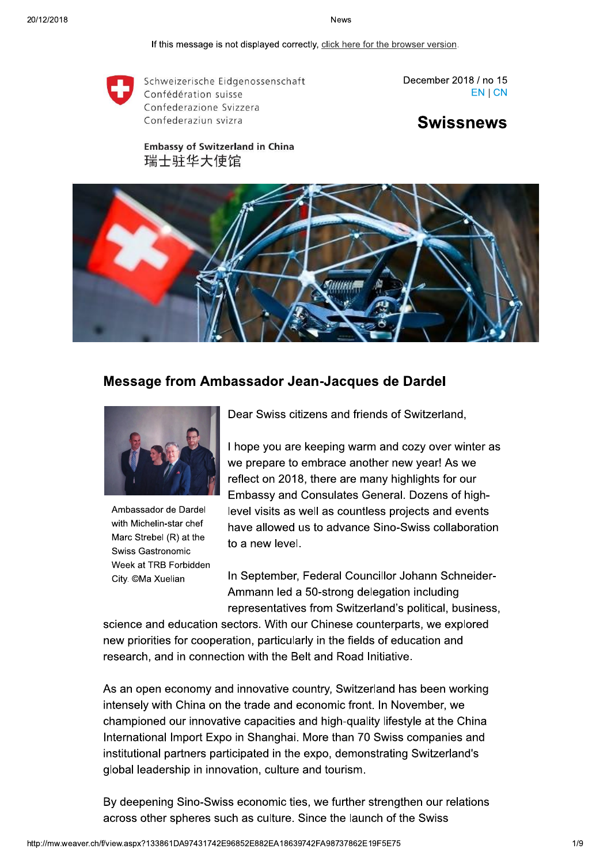If this message is not displayed correctly, click here for the browser version.



Schweizerische Eidgenossenschaft Confédération suisse Confederazione Svizzera Confederaziun svizra

December 2018 / no 15 EN | CN

**Swissnews** 

**Embassy of Switzerland in China** 瑞士驻华大使馆



## Message from Ambassador Jean-Jacques de Dardel



Ambassador de Dardel with Michelin-star chef Marc Strebel (R) at the Swiss Gastronomic Week at TRB Forbidden City. ©Ma Xuelian

Dear Swiss citizens and friends of Switzerland.

I hope you are keeping warm and cozy over winter as we prepare to embrace another new year! As we reflect on 2018, there are many highlights for our Embassy and Consulates General. Dozens of highlevel visits as well as countless projects and events have allowed us to advance Sino-Swiss collaboration to a new level.

In September, Federal Councillor Johann Schneider-Ammann led a 50-strong delegation including representatives from Switzerland's political, business,

science and education sectors. With our Chinese counterparts, we explored new priorities for cooperation, particularly in the fields of education and research, and in connection with the Belt and Road Initiative.

As an open economy and innovative country, Switzerland has been working intensely with China on the trade and economic front. In November, we championed our innovative capacities and high-quality lifestyle at the China International Import Expo in Shanghai. More than 70 Swiss companies and institutional partners participated in the expo, demonstrating Switzerland's global leadership in innovation, culture and tourism.

By deepening Sino-Swiss economic ties, we further strengthen our relations across other spheres such as culture. Since the launch of the Swiss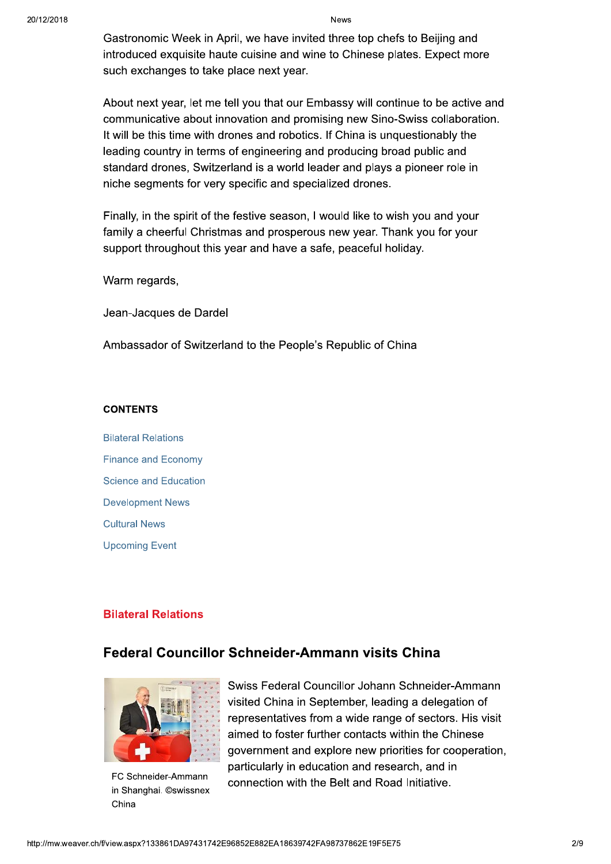Gastronomic Week in April, we have invited three top chefs to Beijing and introduced exquisite haute cuisine and wine to Chinese plates. Expect more such exchanges to take place next year.

About next year, let me tell you that our Embassy will continue to be active and communicative about innovation and promising new Sino-Swiss collaboration. It will be this time with drones and robotics. If China is unquestionably the leading country in terms of engineering and producing broad public and standard drones, Switzerland is a world leader and plays a pioneer role in niche segments for very specific and specialized drones.

Finally, in the spirit of the festive season, I would like to wish you and your family a cheerful Christmas and prosperous new year. Thank you for your support throughout this year and have a safe, peaceful holiday.

Warm regards,

Jean-Jacques de Dardel

Ambassador of Switzerland to the People's Republic of China

#### **CONTENTS**

**Bilateral Relations Finance and Economy Science and Education Development News Cultural News Upcoming Event** 

## **Bilateral Relations**

## Federal Councillor Schneider-Ammann visits China



FC Schneider-Ammann in Shanghai. ©swissnex China

Swiss Federal Councillor Johann Schneider-Ammann visited China in September, leading a delegation of representatives from a wide range of sectors. His visit aimed to foster further contacts within the Chinese government and explore new priorities for cooperation, particularly in education and research, and in connection with the Belt and Road Initiative.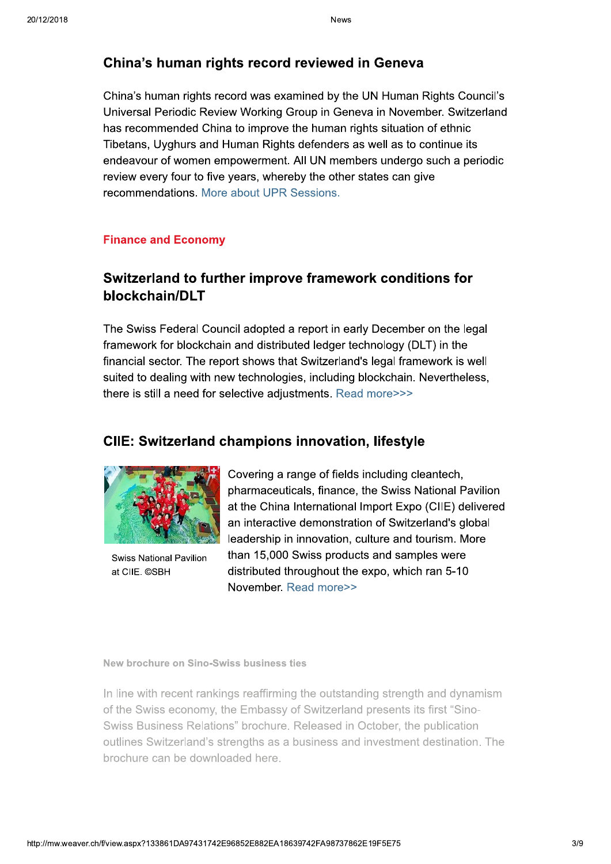## China's human rights record reviewed in Geneva

China's human rights record was examined by the UN Human Rights Council's Universal Periodic Review Working Group in Geneva in November. Switzerland has recommended China to improve the human rights situation of ethnic Tibetans, Uyghurs and Human Rights defenders as well as to continue its endeavour of women empowerment. All UN members undergo such a periodic review every four to five years, whereby the other states can give recommendations. More about UPR Sessions.

### **Finance and Economy**

## Switzerland to further improve framework conditions for blockchain/DLT

The Swiss Federal Council adopted a report in early December on the legal framework for blockchain and distributed ledger technology (DLT) in the financial sector. The report shows that Switzerland's legal framework is well suited to dealing with new technologies, including blockchain. Nevertheless, there is still a need for selective adjustments. Read more>>>

## **CIIE: Switzerland champions innovation, lifestyle**



**Swiss National Pavilion** at CIIE. ©SBH

Covering a range of fields including cleantech, pharmaceuticals, finance, the Swiss National Pavilion at the China International Import Expo (CIIE) delivered an interactive demonstration of Switzerland's global leadership in innovation, culture and tourism. More than 15,000 Swiss products and samples were distributed throughout the expo, which ran 5-10 November, Read more>>

New brochure on Sino-Swiss business ties

In line with recent rankings reaffirming the outstanding strength and dynamism of the Swiss economy, the Embassy of Switzerland presents its first "Sino-Swiss Business Relations" brochure. Released in October, the publication outlines Switzerland's strengths as a business and investment destination. The brochure can be downloaded here.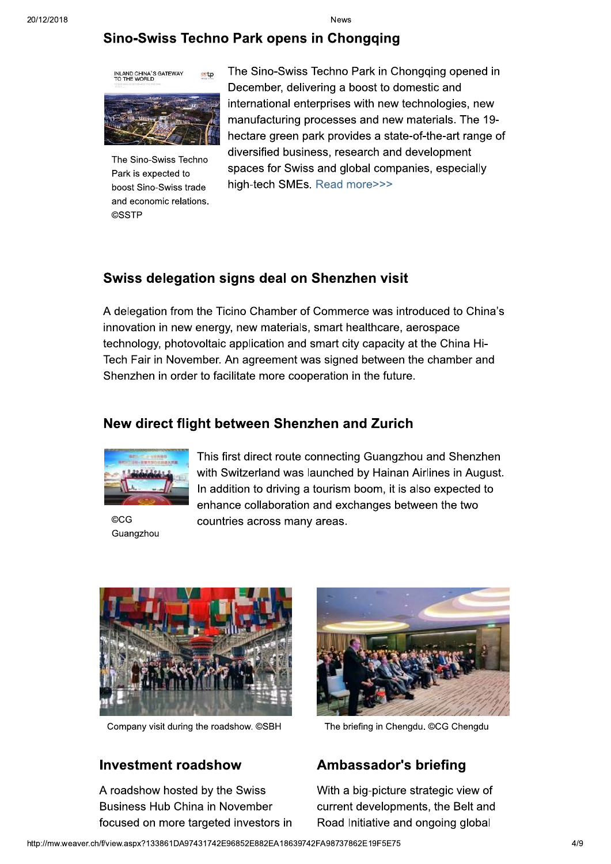## Sino-Swiss Techno Park opens in Chongqing



The Sino-Swiss Techno Park is expected to boost Sino-Swiss trade and economic relations. **©SSTP** 

The Sino-Swiss Techno Park in Chongging opened in December, delivering a boost to domestic and international enterprises with new technologies, new manufacturing processes and new materials. The 19hectare green park provides a state-of-the-art range of diversified business, research and development spaces for Swiss and global companies, especially high-tech SMEs. Read more>>>

## Swiss delegation signs deal on Shenzhen visit

A delegation from the Ticino Chamber of Commerce was introduced to China's innovation in new energy, new materials, smart healthcare, aerospace technology, photovoltaic application and smart city capacity at the China Hi-Tech Fair in November. An agreement was signed between the chamber and Shenzhen in order to facilitate more cooperation in the future.

## New direct flight between Shenzhen and Zurich



©CG Guangzhou

This first direct route connecting Guangzhou and Shenzhen with Switzerland was launched by Hainan Airlines in August. In addition to driving a tourism boom, it is also expected to enhance collaboration and exchanges between the two countries across many areas.



Company visit during the roadshow. ©SBH

## **Investment roadshow**

A roadshow hosted by the Swiss Business Hub China in November focused on more targeted investors in



The briefing in Chengdu. ©CG Chengdu

## **Ambassador's briefing**

With a big-picture strategic view of current developments, the Belt and Road Initiative and ongoing global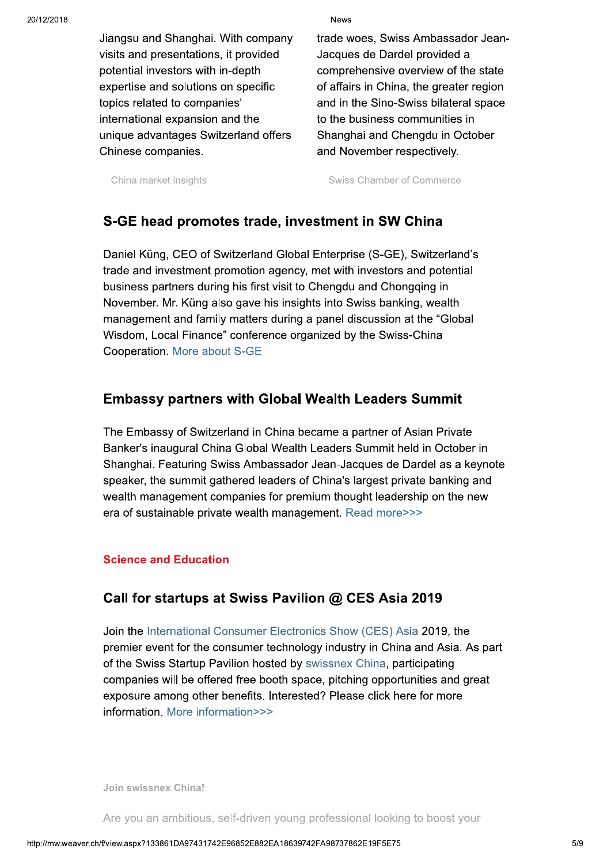Jiangsu and Shanghai. With company visits and presentations, it provided potential investors with in-depth expertise and solutions on specific topics related to companies' international expansion and the unique advantages Switzerland offers Chinese companies.

**News** 

trade woes, Swiss Ambassador Jean-Jacques de Dardel provided a comprehensive overview of the state of affairs in China, the greater region and in the Sino-Swiss bilateral space to the business communities in Shanghai and Chengdu in October and November respectively.

China market insights

Swiss Chamber of Commerce

# S-GE head promotes trade, investment in SW China

Daniel Küng, CEO of Switzerland Global Enterprise (S-GE), Switzerland's trade and investment promotion agency, met with investors and potential business partners during his first visit to Chengdu and Chongqing in November. Mr. Küng also gave his insights into Swiss banking, wealth management and family matters during a panel discussion at the "Global" Wisdom, Local Finance" conference organized by the Swiss-China Cooperation. More about S-GE

## **Embassy partners with Global Wealth Leaders Summit**

The Embassy of Switzerland in China became a partner of Asian Private Banker's inaugural China Global Wealth Leaders Summit held in October in Shanghai. Featuring Swiss Ambassador Jean-Jacques de Dardel as a keynote speaker, the summit gathered leaders of China's largest private banking and wealth management companies for premium thought leadership on the new era of sustainable private wealth management. Read more>>>

## **Science and Education**

## Call for startups at Swiss Pavilion @ CES Asia 2019

Join the International Consumer Electronics Show (CES) Asia 2019, the premier event for the consumer technology industry in China and Asia. As part of the Swiss Startup Pavilion hosted by swissnex China, participating companies will be offered free booth space, pitching opportunities and great exposure among other benefits. Interested? Please click here for more information. More information>>>

Join swissnex China!

Are you an ambitious, self-driven young professional looking to boost your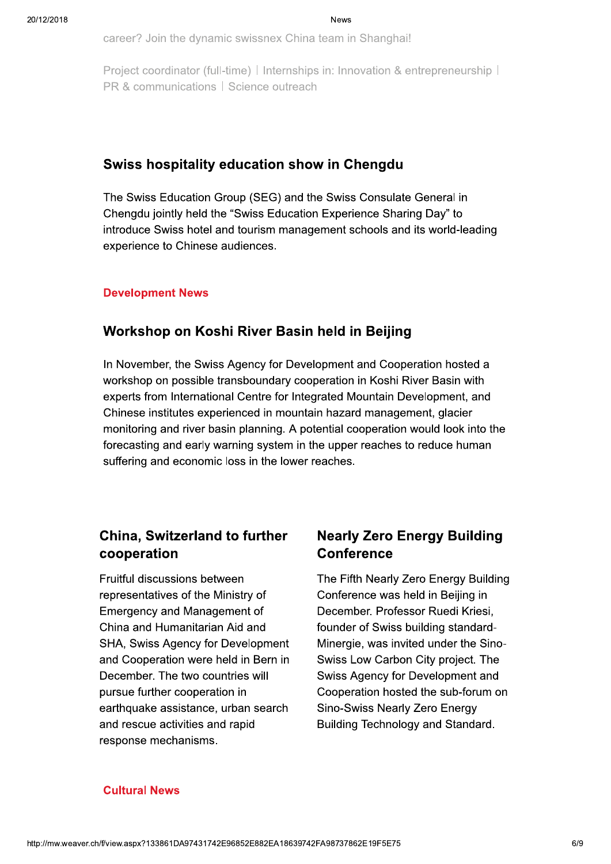career? Join the dynamic swissnex China team in Shanghai!

Project coordinator (full-time) | Internships in: Innovation & entrepreneurship | PR & communications | Science outreach

## Swiss hospitality education show in Chengdu

The Swiss Education Group (SEG) and the Swiss Consulate General in Chengdu jointly held the "Swiss Education Experience Sharing Day" to introduce Swiss hotel and tourism management schools and its world-leading experience to Chinese audiences.

### **Development News**

## Workshop on Koshi River Basin held in Beijing

In November, the Swiss Agency for Development and Cooperation hosted a workshop on possible transboundary cooperation in Koshi River Basin with experts from International Centre for Integrated Mountain Development, and Chinese institutes experienced in mountain hazard management, glacier monitoring and river basin planning. A potential cooperation would look into the forecasting and early warning system in the upper reaches to reduce human suffering and economic loss in the lower reaches.

# **China, Switzerland to further** cooperation

Fruitful discussions between representatives of the Ministry of **Emergency and Management of** China and Humanitarian Aid and SHA, Swiss Agency for Development and Cooperation were held in Bern in December. The two countries will pursue further cooperation in earthquake assistance, urban search and rescue activities and rapid response mechanisms.

# **Nearly Zero Energy Building Conference**

The Fifth Nearly Zero Energy Building Conference was held in Beijing in December. Professor Ruedi Kriesi, founder of Swiss building standard-Minergie, was invited under the Sino-Swiss Low Carbon City project. The Swiss Agency for Development and Cooperation hosted the sub-forum on Sino-Swiss Nearly Zero Energy Building Technology and Standard.

### **Cultural News**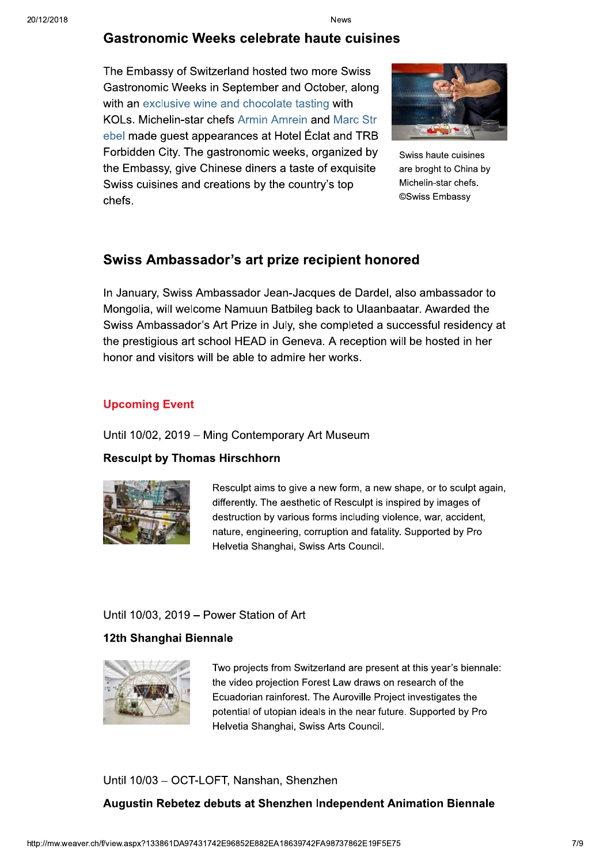### **Gastronomic Weeks celebrate haute cuisines**

The Embassy of Switzerland hosted two more Swiss Gastronomic Weeks in September and October, along with an exclusive wine and chocolate tasting with KOLs. Michelin-star chefs Armin Amrein and Marc Str ebel made guest appearances at Hotel Eclat and TRB Forbidden City. The gastronomic weeks, organized by the Embassy, give Chinese diners a taste of exquisite Swiss cuisines and creations by the country's top chefs.



Swiss haute cuisines are broght to China by Michelin-star chefs. ©Swiss Embassy

## Swiss Ambassador's art prize recipient honored

In January, Swiss Ambassador Jean-Jacques de Dardel, also ambassador to Mongolia, will welcome Namuun Batbileg back to Ulaanbaatar. Awarded the Swiss Ambassador's Art Prize in July, she completed a successful residency at the prestigious art school HEAD in Geneva. A reception will be hosted in her honor and visitors will be able to admire her works.

### **Upcoming Event**

#### Until 10/02, 2019 - Ming Contemporary Art Museum

### **Resculpt by Thomas Hirschhorn**



Resculpt aims to give a new form, a new shape, or to sculpt again, differently. The aesthetic of Resculpt is inspired by images of destruction by various forms including violence, war, accident, nature, engineering, corruption and fatality. Supported by Pro Helvetia Shanghai, Swiss Arts Council.

### Until 10/03, 2019 - Power Station of Art

#### 12th Shanghai Biennale



Two projects from Switzerland are present at this year's biennale: the video projection Forest Law draws on research of the Ecuadorian rainforest. The Auroville Project investigates the potential of utopian ideals in the near future. Supported by Pro Helvetia Shanghai, Swiss Arts Council.

### Until 10/03 - OCT-LOFT, Nanshan, Shenzhen

### Augustin Rebetez debuts at Shenzhen Independent Animation Biennale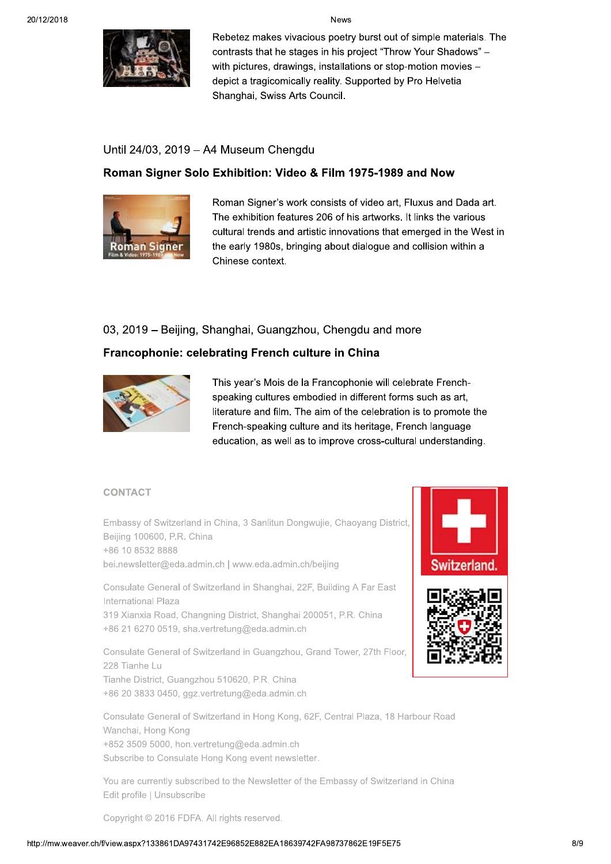

Rebetez makes vivacious poetry burst out of simple materials. The contrasts that he stages in his project "Throw Your Shadows" with pictures, drawings, installations or stop-motion movies depict a tragicomically reality. Supported by Pro Helvetia Shanghai, Swiss Arts Council.

## Until 24/03, 2019 - A4 Museum Chengdu

## Roman Signer Solo Exhibition: Video & Film 1975-1989 and Now



Roman Signer's work consists of video art, Fluxus and Dada art. The exhibition features 206 of his artworks. It links the various cultural trends and artistic innovations that emerged in the West in the early 1980s, bringing about dialogue and collision within a Chinese context.

## 03, 2019 – Beijing, Shanghai, Guangzhou, Chengdu and more

## Francophonie: celebrating French culture in China



This year's Mois de la Francophonie will celebrate Frenchspeaking cultures embodied in different forms such as art, literature and film. The aim of the celebration is to promote the French-speaking culture and its heritage, French language education, as well as to improve cross-cultural understanding.

## **CONTACT**

Embassy of Switzerland in China, 3 Sanlitun Dongwujie, Chaoyang District, Beijing 100600, P.R. China +86 10 8532 8888 bei.newsletter@eda.admin.ch | www.eda.admin.ch/beijing

Consulate General of Switzerland in Shanghai, 22F, Building A Far East International Plaza 319 Xianxia Road, Changning District, Shanghai 200051, P.R. China +86 21 6270 0519, sha.vertretung@eda.admin.ch

Consulate General of Switzerland in Guangzhou, Grand Tower, 27th Floor, 228 Tianhe Lu Tianhe District, Guangzhou 510620, P.R. China

+86 20 3833 0450, ggz.vertretung@eda.admin.ch

Consulate General of Switzerland in Hong Kong, 62F, Central Plaza, 18 Harbour Road Wanchai, Hong Kong +852 3509 5000, hon.vertretung@eda.admin.ch Subscribe to Consulate Hong Kong event newsletter.

You are currently subscribed to the Newsletter of the Embassy of Switzerland in China Edit profile | Unsubscribe

Copyright © 2016 FDFA. All rights reserved.